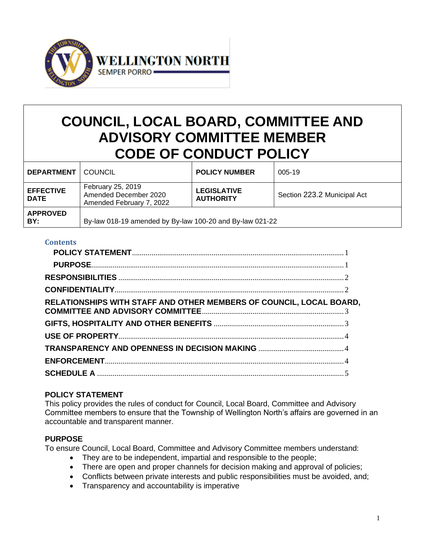

# **COUNCIL, LOCAL BOARD, COMMITTEE AND ADVISORY COMMITTEE MEMBER CODE OF CONDUCT POLICY**

| <b>DEPARTMENT</b>               | COUNCIL                                                                | <b>POLICY NUMBER</b>                   | 005-19                      |
|---------------------------------|------------------------------------------------------------------------|----------------------------------------|-----------------------------|
| <b>EFFECTIVE</b><br><b>DATE</b> | February 25, 2019<br>Amended December 2020<br>Amended February 7, 2022 | <b>LEGISLATIVE</b><br><b>AUTHORITY</b> | Section 223.2 Municipal Act |
| <b>APPROVED</b><br>BY:          | By-law 018-19 amended by By-law 100-20 and By-law 021-22               |                                        |                             |

#### **Contents**

| RELATIONSHIPS WITH STAFF AND OTHER MEMBERS OF COUNCIL, LOCAL BOARD, |  |
|---------------------------------------------------------------------|--|
|                                                                     |  |
|                                                                     |  |
|                                                                     |  |
|                                                                     |  |
|                                                                     |  |
|                                                                     |  |

## <span id="page-0-0"></span>**POLICY STATEMENT**

This policy provides the rules of conduct for Council, Local Board, Committee and Advisory Committee members to ensure that the Township of Wellington North's affairs are governed in an accountable and transparent manner.

## <span id="page-0-1"></span>**PURPOSE**

To ensure Council, Local Board, Committee and Advisory Committee members understand:

- They are to be independent, impartial and responsible to the people;
- There are open and proper channels for decision making and approval of policies;
- Conflicts between private interests and public responsibilities must be avoided, and;
- Transparency and accountability is imperative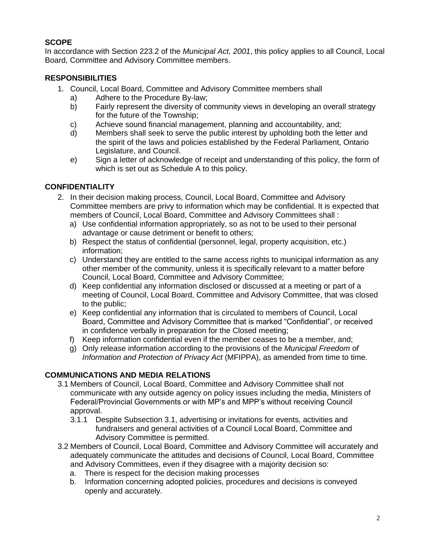# **SCOPE**

In accordance with Section 223.2 of the *Municipal Act, 2001*, this policy applies to all Council, Local Board, Committee and Advisory Committee members.

# <span id="page-1-0"></span>**RESPONSIBILITIES**

- 1. Council, Local Board, Committee and Advisory Committee members shall
	- a) Adhere to the Procedure By-law;
	- b) Fairly represent the diversity of community views in developing an overall strategy for the future of the Township;
	- c) Achieve sound financial management, planning and accountability, and;
	- d) Members shall seek to serve the public interest by upholding both the letter and the spirit of the laws and policies established by the Federal Parliament, Ontario Legislature, and Council.
	- e) Sign a letter of acknowledge of receipt and understanding of this policy, the form of which is set out as Schedule A to this policy.

## <span id="page-1-1"></span>**CONFIDENTIALITY**

- 2. In their decision making process, Council, Local Board, Committee and Advisory Committee members are privy to information which may be confidential. It is expected that members of Council, Local Board, Committee and Advisory Committees shall :
	- a) Use confidential information appropriately, so as not to be used to their personal advantage or cause detriment or benefit to others;
	- b) Respect the status of confidential (personnel, legal, property acquisition, etc.) information;
	- c) Understand they are entitled to the same access rights to municipal information as any other member of the community, unless it is specifically relevant to a matter before Council, Local Board, Committee and Advisory Committee;
	- d) Keep confidential any information disclosed or discussed at a meeting or part of a meeting of Council, Local Board, Committee and Advisory Committee, that was closed to the public;
	- e) Keep confidential any information that is circulated to members of Council, Local Board, Committee and Advisory Committee that is marked "Confidential", or received in confidence verbally in preparation for the Closed meeting;
	- f) Keep information confidential even if the member ceases to be a member, and;
	- g) Only release information according to the provisions of the *Municipal Freedom of Information and Protection of Privacy Act* (MFIPPA), as amended from time to time.

## **COMMUNICATIONS AND MEDIA RELATIONS**

- 3.1 Members of Council, Local Board, Committee and Advisory Committee shall not communicate with any outside agency on policy issues including the media, Ministers of Federal/Provincial Governments or with MP's and MPP's without receiving Council approval.
	- 3.1.1 Despite Subsection 3.1, advertising or invitations for events, activities and fundraisers and general activities of a Council Local Board, Committee and Advisory Committee is permitted.
- 3.2 Members of Council, Local Board, Committee and Advisory Committee will accurately and adequately communicate the attitudes and decisions of Council, Local Board, Committee and Advisory Committees, even if they disagree with a majority decision so:
	- a. There is respect for the decision making processes
	- b. Information concerning adopted policies, procedures and decisions is conveyed openly and accurately.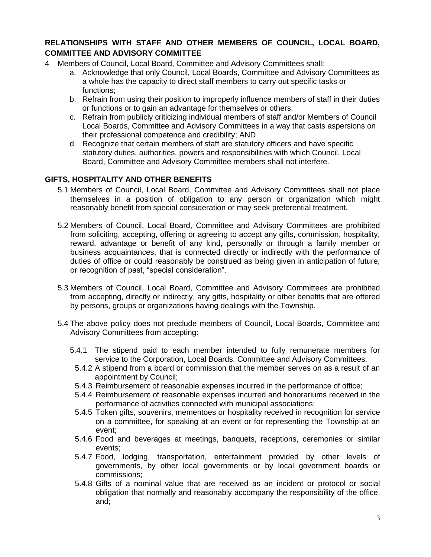## <span id="page-2-0"></span>**RELATIONSHIPS WITH STAFF AND OTHER MEMBERS OF COUNCIL, LOCAL BOARD, COMMITTEE AND ADVISORY COMMITTEE**

- 4 Members of Council, Local Board, Committee and Advisory Committees shall:
	- a. Acknowledge that only Council, Local Boards, Committee and Advisory Committees as a whole has the capacity to direct staff members to carry out specific tasks or functions;
	- b. Refrain from using their position to improperly influence members of staff in their duties or functions or to gain an advantage for themselves or others,
	- c. Refrain from publicly criticizing individual members of staff and/or Members of Council Local Boards, Committee and Advisory Committees in a way that casts aspersions on their professional competence and credibility; AND
	- d. Recognize that certain members of staff are statutory officers and have specific statutory duties, authorities, powers and responsibilities with which Council, Local Board, Committee and Advisory Committee members shall not interfere.

## <span id="page-2-1"></span>**GIFTS, HOSPITALITY AND OTHER BENEFITS**

- 5.1 Members of Council, Local Board, Committee and Advisory Committees shall not place themselves in a position of obligation to any person or organization which might reasonably benefit from special consideration or may seek preferential treatment.
- 5.2 Members of Council, Local Board, Committee and Advisory Committees are prohibited from soliciting, accepting, offering or agreeing to accept any gifts, commission, hospitality, reward, advantage or benefit of any kind, personally or through a family member or business acquaintances, that is connected directly or indirectly with the performance of duties of office or could reasonably be construed as being given in anticipation of future, or recognition of past, "special consideration".
- 5.3 Members of Council, Local Board, Committee and Advisory Committees are prohibited from accepting, directly or indirectly, any gifts, hospitality or other benefits that are offered by persons, groups or organizations having dealings with the Township.
- 5.4 The above policy does not preclude members of Council, Local Boards, Committee and Advisory Committees from accepting:
	- 5.4.1 The stipend paid to each member intended to fully remunerate members for service to the Corporation, Local Boards, Committee and Advisory Committees;
		- 5.4.2 A stipend from a board or commission that the member serves on as a result of an appointment by Council;
		- 5.4.3 Reimbursement of reasonable expenses incurred in the performance of office;
		- 5.4.4 Reimbursement of reasonable expenses incurred and honorariums received in the performance of activities connected with municipal associations;
		- 5.4.5 Token gifts, souvenirs, mementoes or hospitality received in recognition for service on a committee, for speaking at an event or for representing the Township at an event;
		- 5.4.6 Food and beverages at meetings, banquets, receptions, ceremonies or similar events;
		- 5.4.7 Food, lodging, transportation, entertainment provided by other levels of governments, by other local governments or by local government boards or commissions;
		- 5.4.8 Gifts of a nominal value that are received as an incident or protocol or social obligation that normally and reasonably accompany the responsibility of the office, and;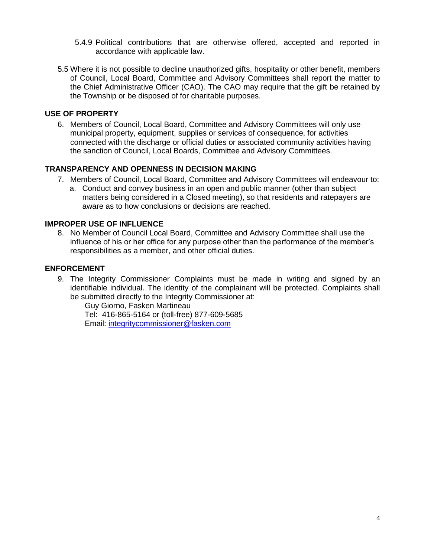- 5.4.9 Political contributions that are otherwise offered, accepted and reported in accordance with applicable law.
- 5.5 Where it is not possible to decline unauthorized gifts, hospitality or other benefit, members of Council, Local Board, Committee and Advisory Committees shall report the matter to the Chief Administrative Officer (CAO). The CAO may require that the gift be retained by the Township or be disposed of for charitable purposes.

#### <span id="page-3-0"></span>**USE OF PROPERTY**

6. Members of Council, Local Board, Committee and Advisory Committees will only use municipal property, equipment, supplies or services of consequence, for activities connected with the discharge or official duties or associated community activities having the sanction of Council, Local Boards, Committee and Advisory Committees.

#### <span id="page-3-1"></span>**TRANSPARENCY AND OPENNESS IN DECISION MAKING**

- 7. Members of Council, Local Board, Committee and Advisory Committees will endeavour to:
	- a. Conduct and convey business in an open and public manner (other than subject matters being considered in a Closed meeting), so that residents and ratepayers are aware as to how conclusions or decisions are reached.

#### **IMPROPER USE OF INFLUENCE**

8. No Member of Council Local Board, Committee and Advisory Committee shall use the influence of his or her office for any purpose other than the performance of the member's responsibilities as a member, and other official duties.

#### <span id="page-3-2"></span>**ENFORCEMENT**

9. The Integrity Commissioner Complaints must be made in writing and signed by an identifiable individual. The identity of the complainant will be protected. Complaints shall be submitted directly to the Integrity Commissioner at:

Guy Giorno, Fasken Martineau Tel: 416-865-5164 or (toll-free) 877-609-5685 Email: [integritycommissioner@fasken.com](mailto:integritycommissioner@fasken.com)